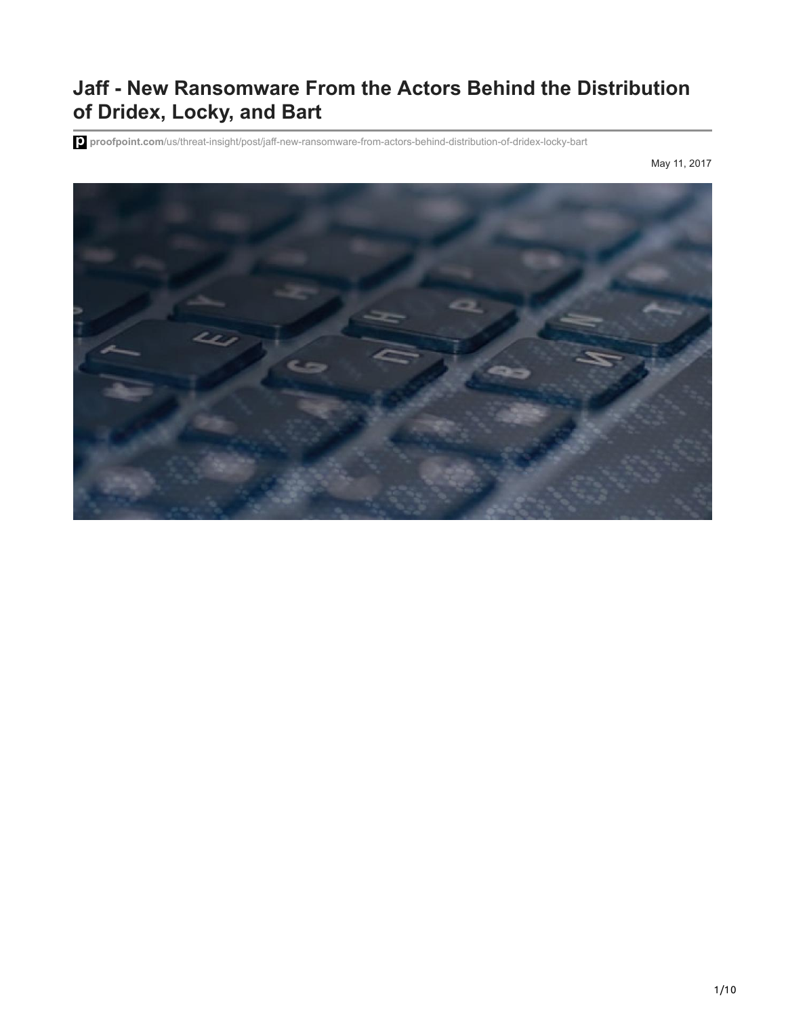## **Jaff - New Ransomware From the Actors Behind the Distribution of Dridex, Locky, and Bart**

**proofpoint.com**[/us/threat-insight/post/jaff-new-ransomware-from-actors-behind-distribution-of-dridex-locky-bart](https://www.proofpoint.com/us/threat-insight/post/jaff-new-ransomware-from-actors-behind-distribution-of-dridex-locky-bart)

May 11, 2017

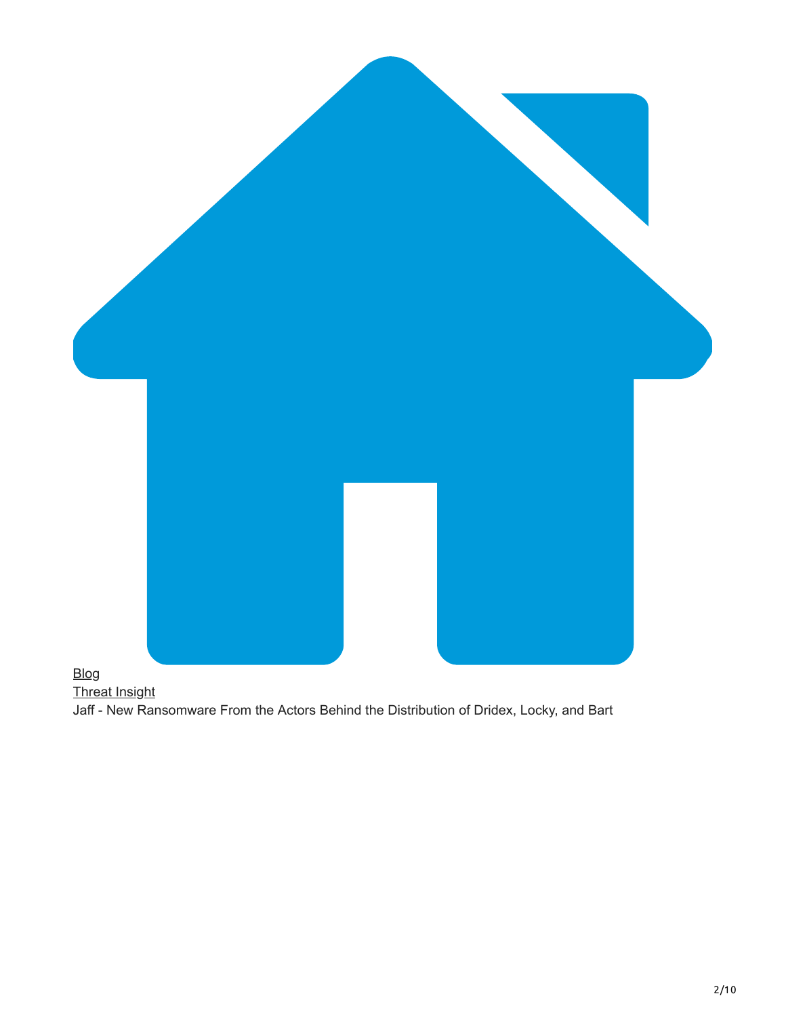



Jaff - New Ransomware From the Actors Behind the Distribution of Dridex, Locky, and Bart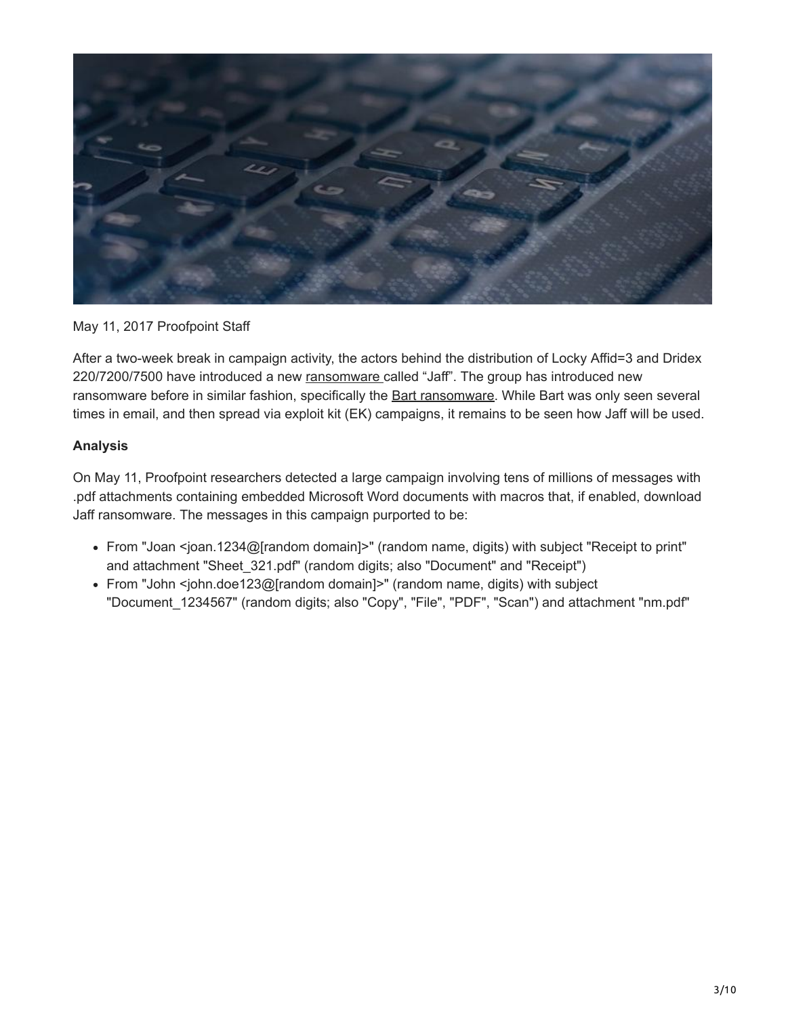

May 11, 2017 Proofpoint Staff

After a two-week break in campaign activity, the actors behind the distribution of Locky Affid=3 and Dridex 220/7200/7500 have introduced a new [ransomware c](https://www.proofpoint.com/us/threat-reference/ransomware)alled "Jaff". The group has introduced new ransomware before in similar fashion, specifically the **Bart ransomware**. While Bart was only seen several times in email, and then spread via exploit kit (EK) campaigns, it remains to be seen how Jaff will be used.

## **Analysis**

On May 11, Proofpoint researchers detected a large campaign involving tens of millions of messages with .pdf attachments containing embedded Microsoft Word documents with macros that, if enabled, download Jaff ransomware. The messages in this campaign purported to be:

- From "Joan <joan.1234@[random domain]>" (random name, digits) with subject "Receipt to print" and attachment "Sheet 321.pdf" (random digits; also "Document" and "Receipt")
- From "John <john.doe123@[random domain]>" (random name, digits) with subject "Document 1234567" (random digits; also "Copy", "File", "PDF", "Scan") and attachment "nm.pdf"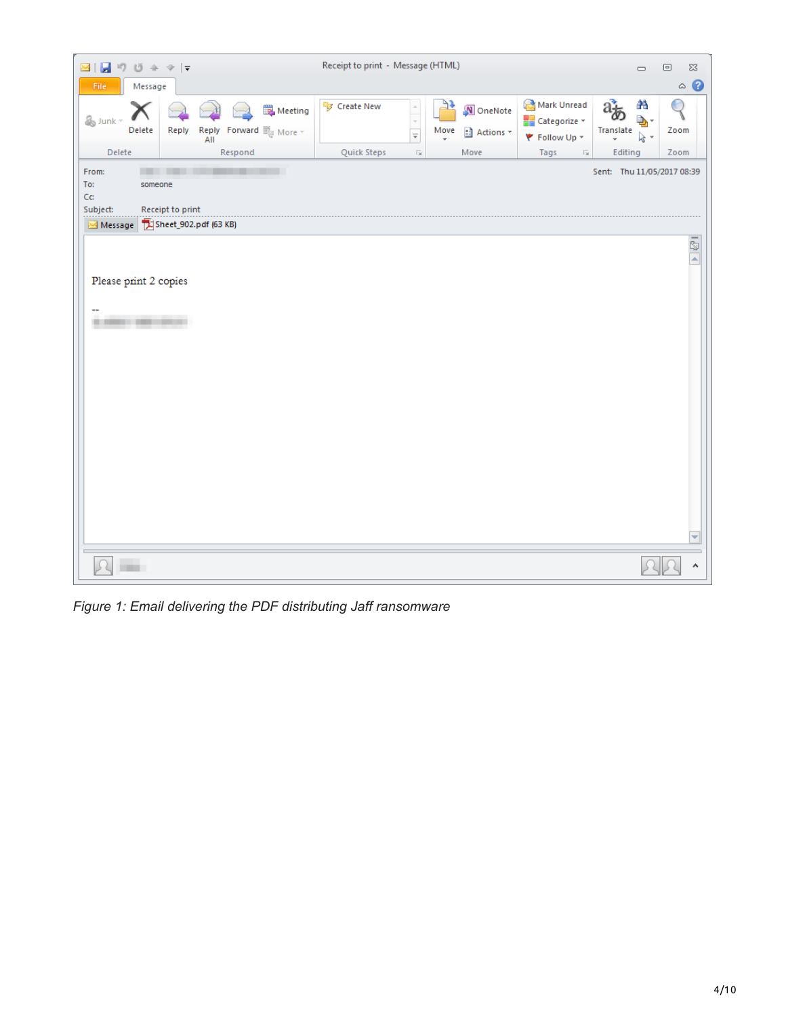| u<br>$\geq$<br>1f7                                   | じ 今 マ マ                                            | Receipt to print - Message (HTML) |                         |            |                        |                                                     | $\qquad \qquad \Box$               | $\boxdot$<br>$\Sigma\!3$                                           |  |
|------------------------------------------------------|----------------------------------------------------|-----------------------------------|-------------------------|------------|------------------------|-----------------------------------------------------|------------------------------------|--------------------------------------------------------------------|--|
| File<br>Message                                      |                                                    |                                   |                         |            |                        |                                                     |                                    | $\circ$ 0                                                          |  |
| & Junk -<br>Delete                                   | Meeting<br>Reply<br>Reply Forward is More -<br>All | <sup>特</sup> Create New           | $\frac{1}{\sqrt{2}}$    | 75<br>Move | OneNote<br>ी Actions * | Mark Unread<br><b>Categorize</b> *<br>₹ Follow Up + | 鸼<br>a:<br>à.<br>Translate<br>13 - | $\left(\begin{matrix} \phantom{\cdot} \end{matrix}\right)$<br>Zoom |  |
| Delete                                               | Respond                                            | Quick Steps                       | $\overline{\mathbb{R}}$ |            | Move                   | Tags<br>$\overline{\mathbb{R}}$                     | Editing                            | Zoom                                                               |  |
| From:<br>╌                                           |                                                    |                                   |                         |            |                        |                                                     | Sent: Thu 11/05/2017 08:39         |                                                                    |  |
| To:<br>someone                                       |                                                    |                                   |                         |            |                        |                                                     |                                    |                                                                    |  |
| Cc:<br>Subject:                                      |                                                    |                                   |                         |            |                        |                                                     |                                    |                                                                    |  |
| Receipt to print<br>Sheet_902.pdf (63 KB)<br>Message |                                                    |                                   |                         |            |                        |                                                     |                                    |                                                                    |  |
|                                                      |                                                    |                                   |                         |            |                        |                                                     |                                    |                                                                    |  |
|                                                      |                                                    |                                   |                         |            |                        |                                                     |                                    | $\frac{1}{2}$                                                      |  |
|                                                      |                                                    |                                   |                         |            |                        |                                                     |                                    |                                                                    |  |
| Please print 2 copies                                |                                                    |                                   |                         |            |                        |                                                     |                                    |                                                                    |  |
| --                                                   |                                                    |                                   |                         |            |                        |                                                     |                                    |                                                                    |  |
| <b>B DRIVER HERE NO. 33</b>                          |                                                    |                                   |                         |            |                        |                                                     |                                    |                                                                    |  |
|                                                      |                                                    |                                   |                         |            |                        |                                                     |                                    |                                                                    |  |
|                                                      |                                                    |                                   |                         |            |                        |                                                     |                                    |                                                                    |  |
|                                                      |                                                    |                                   |                         |            |                        |                                                     |                                    |                                                                    |  |
|                                                      |                                                    |                                   |                         |            |                        |                                                     |                                    |                                                                    |  |
|                                                      |                                                    |                                   |                         |            |                        |                                                     |                                    |                                                                    |  |
|                                                      |                                                    |                                   |                         |            |                        |                                                     |                                    |                                                                    |  |
|                                                      |                                                    |                                   |                         |            |                        |                                                     |                                    |                                                                    |  |
|                                                      |                                                    |                                   |                         |            |                        |                                                     |                                    |                                                                    |  |
|                                                      |                                                    |                                   |                         |            |                        |                                                     |                                    |                                                                    |  |
|                                                      |                                                    |                                   |                         |            |                        |                                                     |                                    |                                                                    |  |
|                                                      |                                                    |                                   |                         |            |                        |                                                     |                                    |                                                                    |  |
|                                                      |                                                    |                                   |                         |            |                        |                                                     |                                    |                                                                    |  |
|                                                      |                                                    |                                   |                         |            |                        |                                                     |                                    |                                                                    |  |
|                                                      |                                                    |                                   |                         |            |                        |                                                     |                                    |                                                                    |  |
|                                                      |                                                    |                                   |                         |            |                        |                                                     |                                    | ۸                                                                  |  |

*Figure 1: Email delivering the PDF distributing Jaff ransomware*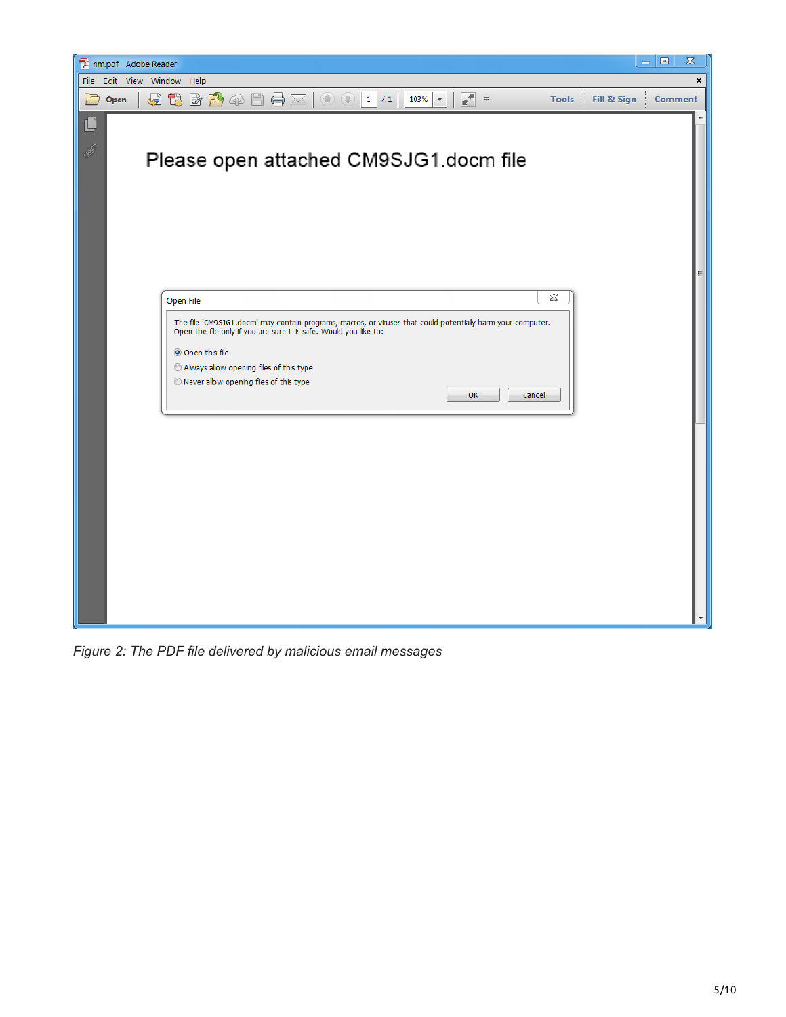

*Figure 2: The PDF file delivered by malicious email messages*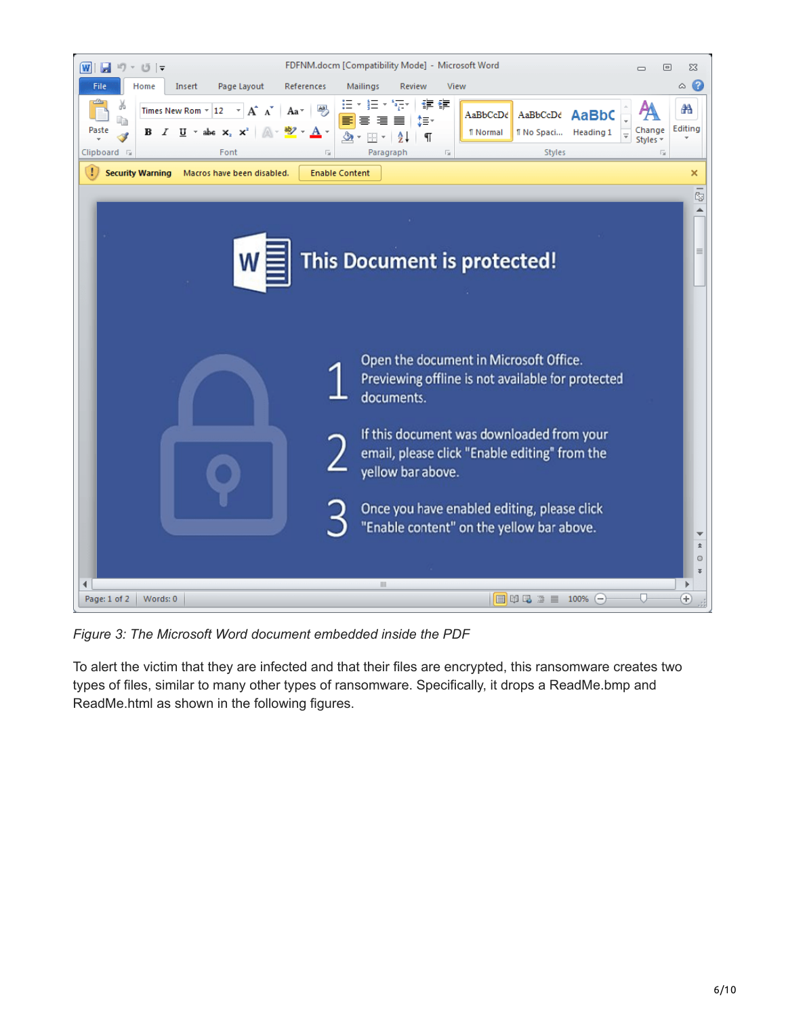

*Figure 3: The Microsoft Word document embedded inside the PDF*

To alert the victim that they are infected and that their files are encrypted, this ransomware creates two types of files, similar to many other types of ransomware. Specifically, it drops a ReadMe.bmp and ReadMe.html as shown in the following figures.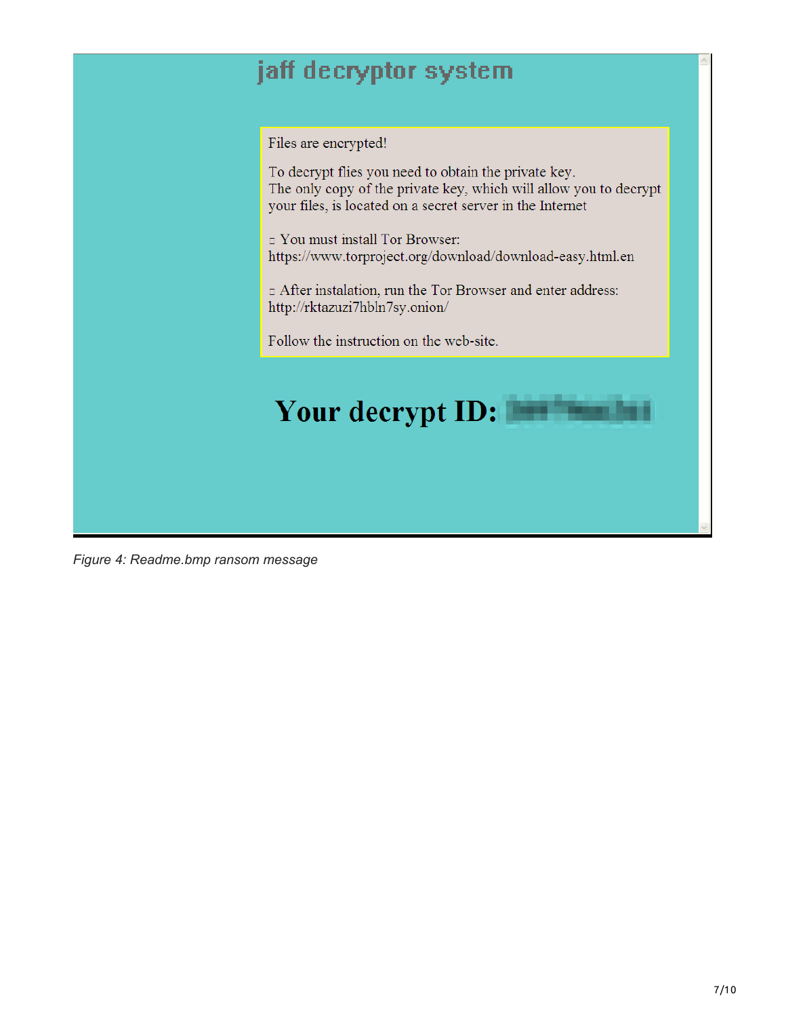## jaff decryptor system

Files are encrypted!

To decrypt flies you need to obtain the private key. The only copy of the private key, which will allow you to decrypt your files, is located on a secret server in the Internet

□ You must install Tor Browser: https://www.torproject.org/download/download-easy.html.en

□ After instalation, run the Tor Browser and enter address: http://rktazuzi7hbln7sy.onion/

Follow the instruction on the web-site.



*Figure 4: Readme.bmp ransom message*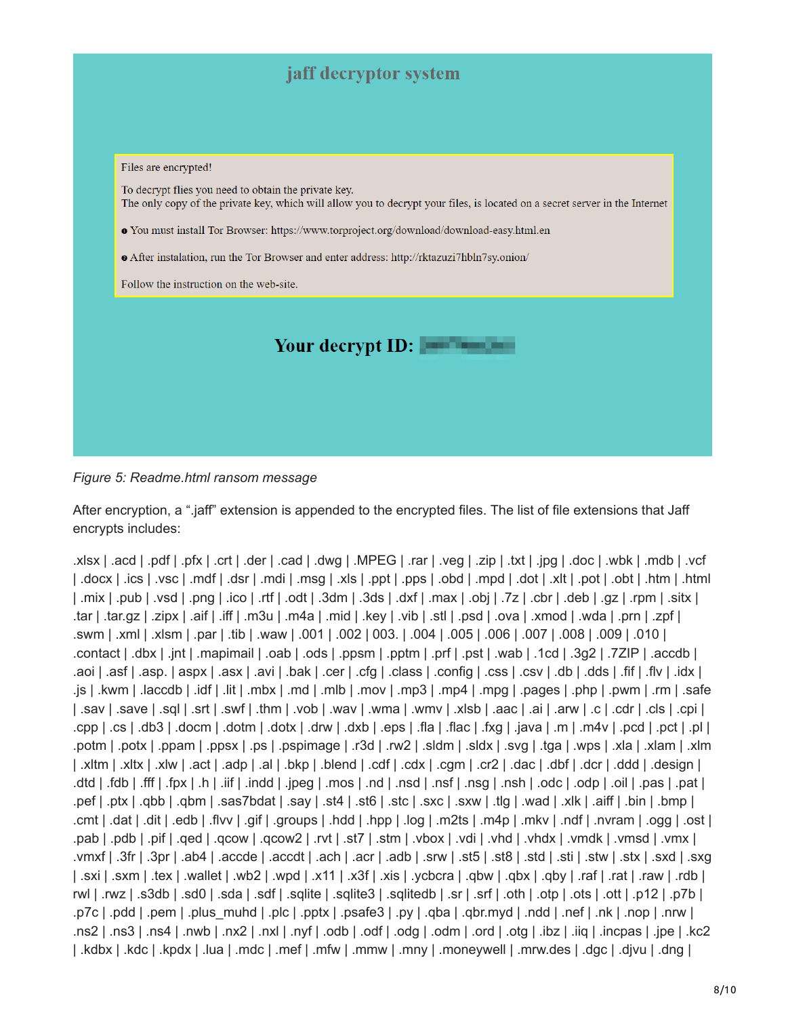

*Figure 5: Readme.html ransom message*

After encryption, a ".jaff" extension is appended to the encrypted files. The list of file extensions that Jaff encrypts includes:

.xlsx | .acd | .pdf | .pfx | .crt | .der | .cad | .dwg | .MPEG | .rar | .veg | .zip | .txt | .jpg | .doc | .wbk | .mdb | .vcf | .docx | .ics | .vsc | .mdf | .dsr | .mdi | .msg | .xls | .ppt | .pps | .obd | .mpd | .dot | .xlt | .pot | .obt | .htm | .html | .mix | .pub | .vsd | .png | .ico | .rtf | .odt | .3dm | .3ds | .dxf | .max | .obj | .7z | .cbr | .deb | .gz | .rpm | .sitx | .tar | .tar.gz | .zipx | .aif | .iff | .m3u | .m4a | .mid | .key | .vib | .stl | .psd | .ova | .xmod | .wda | .prn | .zpf | .swm | .xml | .xlsm | .par | .tib | .waw | .001 | .002 | 003. | .004 | .005 | .006 | .007 | .008 | .009 | .010 | .contact | .dbx | .jnt | .mapimail | .oab | .ods | .ppsm | .pptm | .prf | .pst | .wab | .1cd | .3g2 | .7ZIP | .accdb | .aoi | .asf | .asp. | aspx | .asx | .avi | .bak | .cer | .cfg | .class | .config | .css | .csv | .db | .dds | .fif | .flv | .idx | .js | .kwm | .laccdb | .idf | .lit | .mbx | .md | .mlb | .mov | .mp3 | .mp4 | .mpg | .pages | .php | .pwm | .rm | .safe | .sav | .save | .sql | .srt | .swf | .thm | .vob | .wav | .wma | .wmv | .xlsb | .aac | .ai | .arw | .c | .cdr | .cls | .cpi | .cpp | .cs | .db3 | .docm | .dotm | .dotx | .drw | .dxb | .eps | .fla | .flac | .fxg | .java | .m | .m4v | .pcd | .pct | .pl | .potm | .potx | .ppam | .ppsx | .ps | .pspimage | .r3d | .rw2 | .sldm | .sldx | .svg | .tga | .wps | .xla | .xlam | .xlm | .xltm | .xltx | .xlw | .act | .adp | .al | .bkp | .blend | .cdf | .cdx | .cgm | .cr2 | .dac | .dbf | .dcr | .ddd | .design | .dtd | .fdb | .fff | .fpx | .h | .iif | .indd | .jpeg | .mos | .nd | .nsd | .nsf | .nsg | .nsh | .odc | .odp | .oil | .pas | .pat | .pef | .ptx | .qbb | .qbm | .sas7bdat | .say | .st4 | .st6 | .stc | .sxc | .sxw | .tlg | .wad | .xlk | .aiff | .bin | .bmp | .cmt | .dat | .dit | .edb | .flvv | .gif | .groups | .hdd | .hpp | .log | .m2ts | .m4p | .mkv | .ndf | .nvram | .ogg | .ost | .pab | .pdb | .pif | .qed | .qcow | .qcow2 | .rvt | .st7 | .stm | .vbox | .vdi | .vhd | .vhdx | .vmdk | .vmsd | .vmx | .vmxf | .3fr | .3pr | .ab4 | .accde | .accdt | .ach | .acr | .adb | .srw | .st5 | .st8 | .std | .sti | .stw | .stx | .sxd | .sxg | .sxi | .sxm | .tex | .wallet | .wb2 | .wpd | .x11 | .x3f | .xis | .ycbcra | .qbw | .qbx | .qby | .raf | .rat | .raw | .rdb | rwl | .rwz | .s3db | .sd0 | .sda | .sdf | .sqlite | .sqlite3 | .sqlitedb | .sr | .srf | .oth | .otp | .ots | .ott | .p12 | .p7b | .p7c | .pdd | .pem | .plus\_muhd | .plc | .pptx | .psafe3 | .py | .qba | .qbr.myd | .ndd | .nef | .nk | .nop | .nrw | .ns2 | .ns3 | .ns4 | .nwb | .nx2 | .nxl | .nyf | .odb | .odf | .odg | .odm | .ord | .otg | .ibz | .iiq | .incpas | .jpe | .kc2 | .kdbx | .kdc | .kpdx | .lua | .mdc | .mef | .mfw | .mmw | .mny | .moneywell | .mrw.des | .dgc | .djvu | .dng |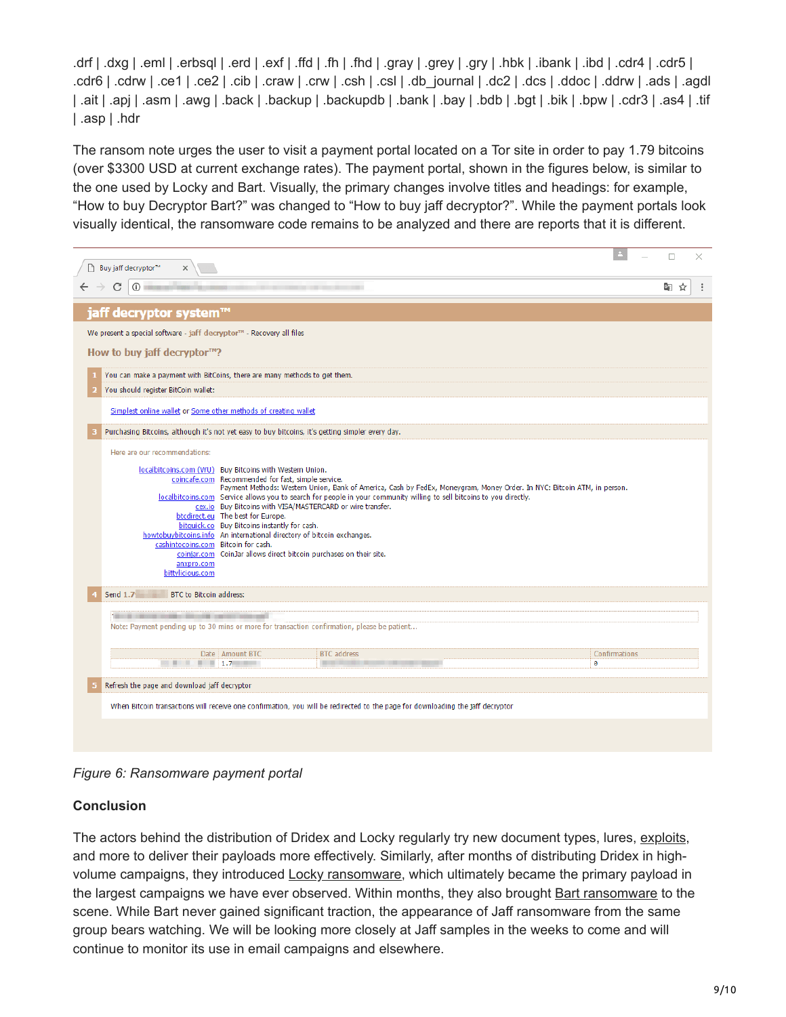.drf | .dxg | .eml | .erbsql | .erd | .exf | .ffd | .fh | .fhd | .gray | .grey | .gry | .hbk | .ibank | .ibd | .cdr4 | .cdr5 | .cdr6 | .cdrw | .ce1 | .ce2 | .cib | .craw | .crw | .csh | .csl | .db\_journal | .dc2 | .dcs | .ddoc | .ddrw | .ads | .agdl | .ait | .apj | .asm | .awg | .back | .backup | .backupdb | .bank | .bay | .bdb | .bgt | .bik | .bpw | .cdr3 | .as4 | .tif | .asp | .hdr

The ransom note urges the user to visit a payment portal located on a Tor site in order to pay 1.79 bitcoins (over \$3300 USD at current exchange rates). The payment portal, shown in the figures below, is similar to the one used by Locky and Bart. Visually, the primary changes involve titles and headings: for example, "How to buy Decryptor Bart?" was changed to "How to buy jaff decryptor?". While the payment portals look visually identical, the ransomware code remains to be analyzed and there are reports that it is different.

| Buy jaff decryptor™                                                                                                                                                                                                                                                                                                                                                                                                                                                                                                                                                                                                                                                                                                                                                            |                      | П        | × |  |  |  |  |
|--------------------------------------------------------------------------------------------------------------------------------------------------------------------------------------------------------------------------------------------------------------------------------------------------------------------------------------------------------------------------------------------------------------------------------------------------------------------------------------------------------------------------------------------------------------------------------------------------------------------------------------------------------------------------------------------------------------------------------------------------------------------------------|----------------------|----------|---|--|--|--|--|
| C<br>$\odot$                                                                                                                                                                                                                                                                                                                                                                                                                                                                                                                                                                                                                                                                                                                                                                   |                      | C p<br>☆ |   |  |  |  |  |
| jaff decryptor system™                                                                                                                                                                                                                                                                                                                                                                                                                                                                                                                                                                                                                                                                                                                                                         |                      |          |   |  |  |  |  |
| We present a special software - jaff decryptor™ - Recovery all files                                                                                                                                                                                                                                                                                                                                                                                                                                                                                                                                                                                                                                                                                                           |                      |          |   |  |  |  |  |
| How to buy jaff decryptor™?                                                                                                                                                                                                                                                                                                                                                                                                                                                                                                                                                                                                                                                                                                                                                    |                      |          |   |  |  |  |  |
| You can make a payment with BitCoins, there are many methods to get them.                                                                                                                                                                                                                                                                                                                                                                                                                                                                                                                                                                                                                                                                                                      |                      |          |   |  |  |  |  |
| You should register BitCoin wallet:                                                                                                                                                                                                                                                                                                                                                                                                                                                                                                                                                                                                                                                                                                                                            |                      |          |   |  |  |  |  |
| Simplest online wallet or Some other methods of creating wallet                                                                                                                                                                                                                                                                                                                                                                                                                                                                                                                                                                                                                                                                                                                |                      |          |   |  |  |  |  |
| Purchasing Bitcoins, although it's not yet easy to buy bitcoins, it's getting simpler every day.                                                                                                                                                                                                                                                                                                                                                                                                                                                                                                                                                                                                                                                                               |                      |          |   |  |  |  |  |
| Here are our recommendations:<br>localbitcoins.com (WU) Buy Bitcoins with Western Union.<br>coincafe.com Recommended for fast, simple service.<br>Payment Methods: Western Union, Bank of America, Cash by FedEx, Moneygram, Money Order. In NYC: Bitcoin ATM, in person.<br>localbitcoins.com Service allows you to search for people in your community willing to sell bitcoins to you directly.<br>cex.io Buy Bitcoins with VISA/MASTERCARD or wire transfer.<br>btcdirect.eu The best for Europe.<br>bitquick.co Buy Bitcoins instantly for cash.<br>howtobuybitcoins.info An international directory of bitcoin exchanges.<br>cashintocoins.com Bitcoin for cash.<br>coinjar.com CoinJar allows direct bitcoin purchases on their site.<br>anxpro.com<br>bittylicious.com |                      |          |   |  |  |  |  |
| BTC to Bitcoin address:<br>Send 1.7                                                                                                                                                                                                                                                                                                                                                                                                                                                                                                                                                                                                                                                                                                                                            |                      |          |   |  |  |  |  |
| THE PARK CONSIDERED STATE AND THE REPORT OF PARK CONSULTANT<br>Note: Payment pending up to 30 mins or more for transaction confirmation, please be patient                                                                                                                                                                                                                                                                                                                                                                                                                                                                                                                                                                                                                     |                      |          |   |  |  |  |  |
| Date   Amount BTC<br><b>BTC</b> address<br>1.7<br>$\mathbb{R}$<br>ш<br>ø                                                                                                                                                                                                                                                                                                                                                                                                                                                                                                                                                                                                                                                                                                       | <b>Confirmations</b> |          |   |  |  |  |  |
|                                                                                                                                                                                                                                                                                                                                                                                                                                                                                                                                                                                                                                                                                                                                                                                |                      |          |   |  |  |  |  |
| Refresh the page and download jaff decryptor                                                                                                                                                                                                                                                                                                                                                                                                                                                                                                                                                                                                                                                                                                                                   |                      |          |   |  |  |  |  |
| When Bitcoin transactions will receive one confirmation, you will be redirected to the page for downloading the jaff decryptor                                                                                                                                                                                                                                                                                                                                                                                                                                                                                                                                                                                                                                                 |                      |          |   |  |  |  |  |
|                                                                                                                                                                                                                                                                                                                                                                                                                                                                                                                                                                                                                                                                                                                                                                                |                      |          |   |  |  |  |  |

*Figure 6: Ransomware payment portal*

## **Conclusion**

The actors behind the distribution of Dridex and Locky regularly try new document types, lures, [exploits,](https://www.proofpoint.com/us/threat-insight/post/dridex-campaigns-millions-recipients-unpatched-microsoft-zero-day) and more to deliver their payloads more effectively. Similarly, after months of distributing Dridex in highvolume campaigns, they introduced **Locky ransomware**, which ultimately became the primary payload in the largest campaigns we have ever observed. Within months, they also brought [Bart ransomware](https://www.proofpoint.com/us/threat-insight/post/New-Bart-Ransomware-from-Threat-Actors-Spreading-Dridex-and-Locky) to the scene. While Bart never gained significant traction, the appearance of Jaff ransomware from the same group bears watching. We will be looking more closely at Jaff samples in the weeks to come and will continue to monitor its use in email campaigns and elsewhere.